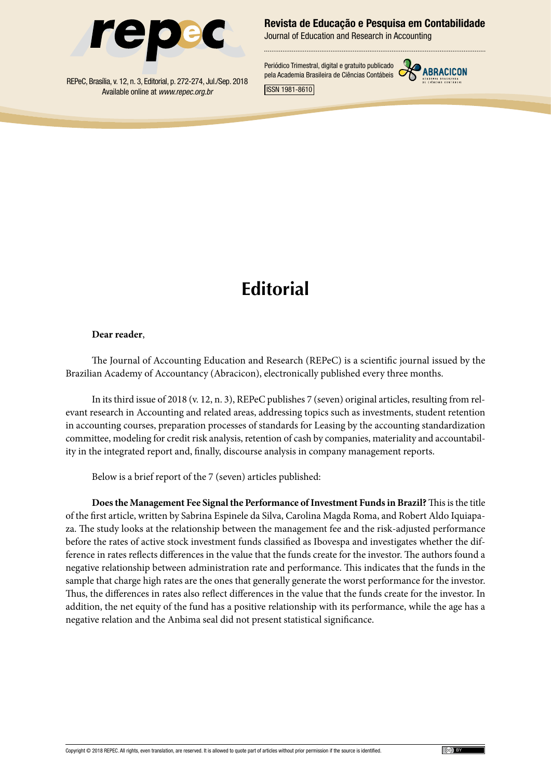

Revista de Educação e Pesquisa em Contabilidade

Journal of Education and Research in Accounting

REPeC, Brasília, v. 12, n. 3, Editorial, p. 272-274, Jul./Sep. 2018 Available online at *www.repec.org.br*

Periódico Trimestral, digital e gratuito publicado pela Academia Brasileira de Ciências Contábeis



ISSN 1981-8610

## **Editorial**

## **Dear reader**,

The Journal of Accounting Education and Research (REPeC) is a scientific journal issued by the Brazilian Academy of Accountancy (Abracicon), electronically published every three months.

In its third issue of 2018 (v. 12, n. 3), REPeC publishes 7 (seven) original articles, resulting from relevant research in Accounting and related areas, addressing topics such as investments, student retention in accounting courses, preparation processes of standards for Leasing by the accounting standardization committee, modeling for credit risk analysis, retention of cash by companies, materiality and accountability in the integrated report and, finally, discourse analysis in company management reports.

Below is a brief report of the 7 (seven) articles published:

**Does the Management Fee Signal the Performance of Investment Funds in Brazil?** This is the title of the first article, written by Sabrina Espinele da Silva, Carolina Magda Roma, and Robert Aldo Iquiapaza. The study looks at the relationship between the management fee and the risk-adjusted performance before the rates of active stock investment funds classified as Ibovespa and investigates whether the difference in rates reflects differences in the value that the funds create for the investor. The authors found a negative relationship between administration rate and performance. This indicates that the funds in the sample that charge high rates are the ones that generally generate the worst performance for the investor. Thus, the differences in rates also reflect differences in the value that the funds create for the investor. In addition, the net equity of the fund has a positive relationship with its performance, while the age has a negative relation and the Anbima seal did not present statistical significance.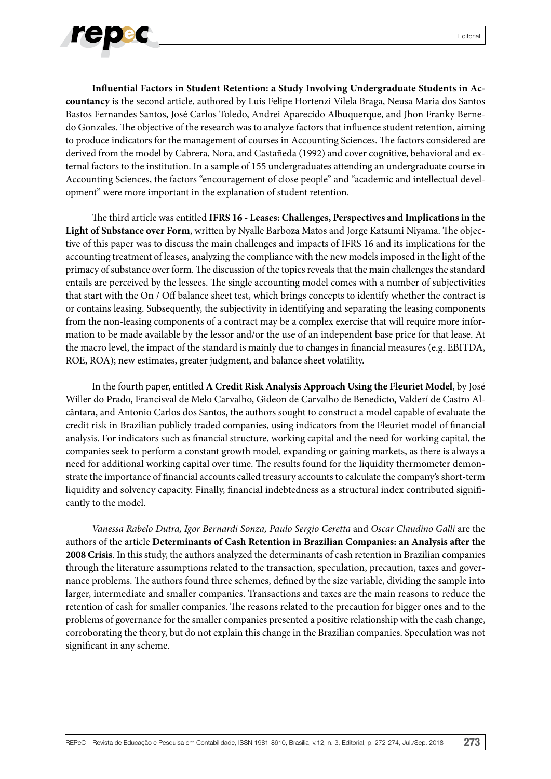

**Influential Factors in Student Retention: a Study Involving Undergraduate Students in Accountancy** is the second article, authored by Luis Felipe Hortenzi Vilela Braga, Neusa Maria dos Santos Bastos Fernandes Santos, José Carlos Toledo, Andrei Aparecido Albuquerque, and Jhon Franky Bernedo Gonzales. The objective of the research was to analyze factors that influence student retention, aiming to produce indicators for the management of courses in Accounting Sciences. The factors considered are derived from the model by Cabrera, Nora, and Castañeda (1992) and cover cognitive, behavioral and external factors to the institution. In a sample of 155 undergraduates attending an undergraduate course in Accounting Sciences, the factors "encouragement of close people" and "academic and intellectual development" were more important in the explanation of student retention.

The third article was entitled **IFRS 16 - Leases: Challenges, Perspectives and Implications in the Light of Substance over Form**, written by Nyalle Barboza Matos and Jorge Katsumi Niyama. The objective of this paper was to discuss the main challenges and impacts of IFRS 16 and its implications for the accounting treatment of leases, analyzing the compliance with the new models imposed in the light of the primacy of substance over form. The discussion of the topics reveals that the main challenges the standard entails are perceived by the lessees. The single accounting model comes with a number of subjectivities that start with the On / Off balance sheet test, which brings concepts to identify whether the contract is or contains leasing. Subsequently, the subjectivity in identifying and separating the leasing components from the non-leasing components of a contract may be a complex exercise that will require more information to be made available by the lessor and/or the use of an independent base price for that lease. At the macro level, the impact of the standard is mainly due to changes in financial measures (e.g. EBITDA, ROE, ROA); new estimates, greater judgment, and balance sheet volatility.

In the fourth paper, entitled **A Credit Risk Analysis Approach Using the Fleuriet Model**, by José Willer do Prado, Francisval de Melo Carvalho, Gideon de Carvalho de Benedicto, Valderí de Castro Alcântara, and Antonio Carlos dos Santos, the authors sought to construct a model capable of evaluate the credit risk in Brazilian publicly traded companies, using indicators from the Fleuriet model of financial analysis. For indicators such as financial structure, working capital and the need for working capital, the companies seek to perform a constant growth model, expanding or gaining markets, as there is always a need for additional working capital over time. The results found for the liquidity thermometer demonstrate the importance of financial accounts called treasury accounts to calculate the company's short-term liquidity and solvency capacity. Finally, financial indebtedness as a structural index contributed significantly to the model.

*Vanessa Rabelo Dutra, Igor Bernardi Sonza, Paulo Sergio Ceretta* and *Oscar Claudino Galli* are the authors of the article **Determinants of Cash Retention in Brazilian Companies: an Analysis after the 2008 Crisis**. In this study, the authors analyzed the determinants of cash retention in Brazilian companies through the literature assumptions related to the transaction, speculation, precaution, taxes and governance problems. The authors found three schemes, defined by the size variable, dividing the sample into larger, intermediate and smaller companies. Transactions and taxes are the main reasons to reduce the retention of cash for smaller companies. The reasons related to the precaution for bigger ones and to the problems of governance for the smaller companies presented a positive relationship with the cash change, corroborating the theory, but do not explain this change in the Brazilian companies. Speculation was not significant in any scheme.